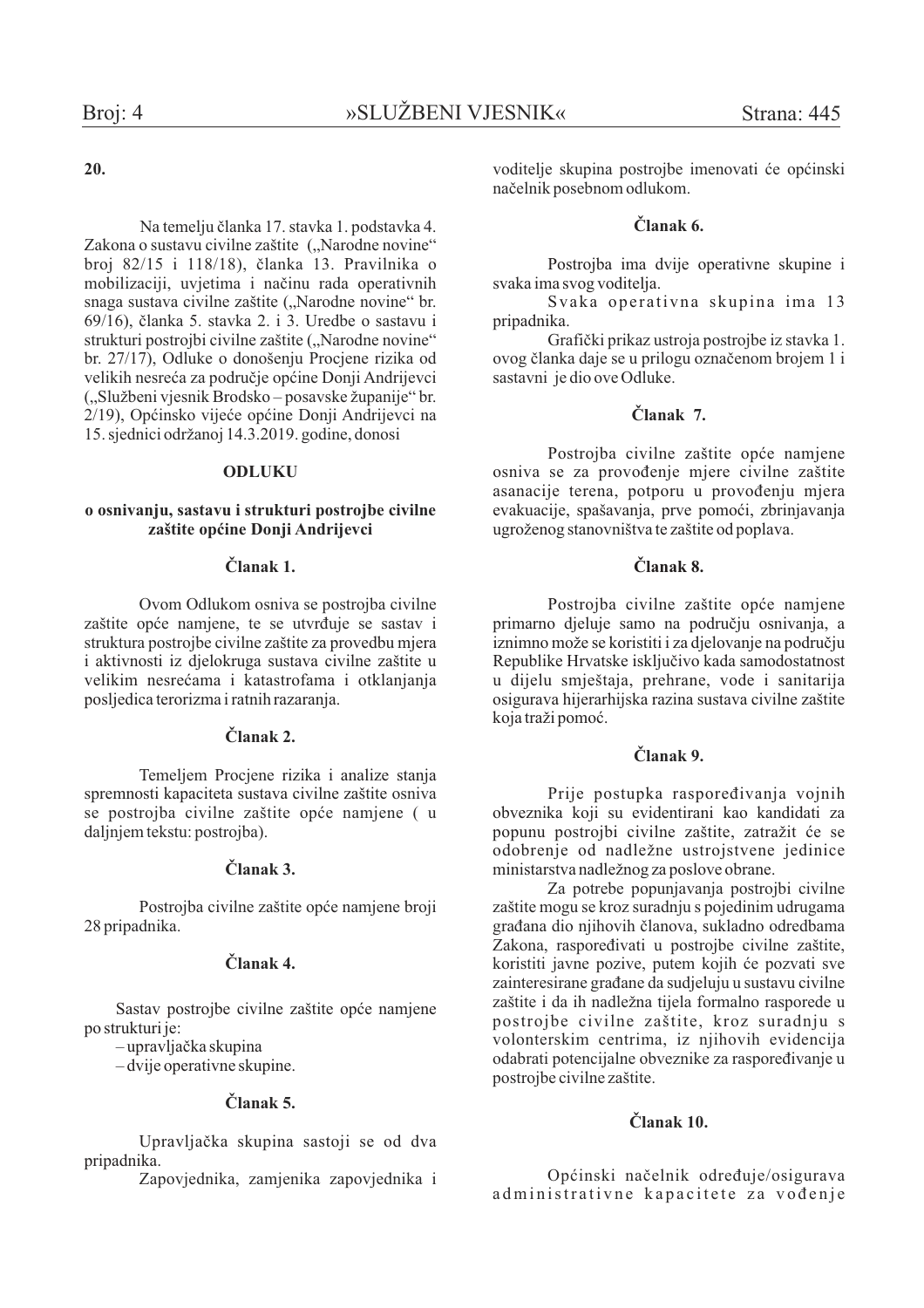#### $20.$

Na temelju članka 17. stavka 1. podstavka 4. Zakona o sustavu civilne zaštite ("Narodne novine" broj 82/15 i 118/18), članka 13. Pravilnika o mobilizaciji, uvjetima i načinu rada operativnih snaga sustava civilne zaštite ("Narodne novine" br. 69/16), članka 5. stavka 2. i 3. Uredbe o sastavu i struktūri postrojbi civilne zaštite ("Narodne novine" br. 27/17), Odluke o donošenju Procjene rizika od velikih nesreća za područje općine Donji Andrijevci ("Službeni vjesnik Brodsko – posavske županije" br. 2/19), Općinsko vijeće općine Donji Andrijevci na 15. sjednici održanoj 14.3.2019. godine, donosi

#### **ODLIJKII**

#### o osnivanju, sastavu i strukturi postrojbe civilne zaštite općine Donji Andrijevci

#### Članak 1.

Ovom Odlukom osniva se postrojba civilne zaštite opće namjene, te se utvrđuje se sastav i struktura postrojbe civilne zaštite za provedbu mjera i aktivnosti iz djelokruga sustava civilne zaštite u velikim nesrećama i katastrofama i otklanjanja posljedica terorizma i ratnih razaranja.

#### Članak 2.

Temeljem Procjene rizika i analize stanja spremnosti kapaciteta sustava civilne zaštite osniva se postrojba civilne zaštite opće namjene (u daljnjem tekstu: postrojba).

## Članak 3.

Postrojba civilne zaštite opće namjene broji 28 pripadnika.

## Članak 4.

Sastav postrojbe civilne zaštite opće namjene po strukturi je:

- upravljačka skupina

 $-dv$ ije operativne skupine.

#### Članak 5.

Upravljačka skupina sastoji se od dva pripadnika.

Zapovjednika, zamjenika zapovjednika i

voditelje skupina postrojbe imenovati će općinski načelnik posebnom odlukom.

#### Članak 6.

Postrojba ima dvije operativne skupine i svaka ima svog voditelja.

Svaka operativna skupina ima 13 pripadnika.

Grafički prikaz ustroja postrojbe iz stavka 1. ovog članka daje se u prilogu označenom brojem 1 i sastavni je dio ove Odluke.

#### Članak 7.

Postrojba civilne zaštite opće namjene osniva se za provođenje mjere civilne zaštite asanacije terena, potporu u provođenju mjera evakuacije, spašavanja, prve pomoći, zbrinjavanja ugroženog stanovništva te zaštite od poplava.

#### Članak 8.

Postrojba civilne zaštite opće namjene primarno djeluje samo na području osnivanja, a iznimno može se koristiti i za djelovanje na području Republike Hrvatske isključivo kada samodostatnost u dijelu smještaja, prehrane, vode i sanitarija osigurava hijerarhijska razina sustava civilne zaštite koja traži pomoć.

#### Članak 9.

Prije postupka raspoređivanja vojnih obveznika koji su evidentirani kao kandidati za popunu postrojbi civilne zaštite, zatražit će se odobrenje od nadležne ustrojstvene jedinice ministarstva nadležnog za poslove obrane.

Za potrebe popunjavanja postrojbi civilne zaštite mogu se kroz suradnju s pojedinim udrugama građana dio njihovih članova, sukladno odredbama Zakona, raspoređivati u postrojbe civilne zaštite, koristiti javne pozive, putem kojih će pozvati sve zainteresirane građane da sudjeluju u sustavu civilne zaštite i da ih nadležna tijela formalno rasporede u postrojbe civilne zaštite, kroz suradnju s volonterskim centrima, iz njihovih evidencija odabrati potencijalne obveznike za raspoređivanje u postrojbe civilne zaštite.

## Članak 10.

Općinski načelnik određuje/osigurava administrativne kapacitete za vođenje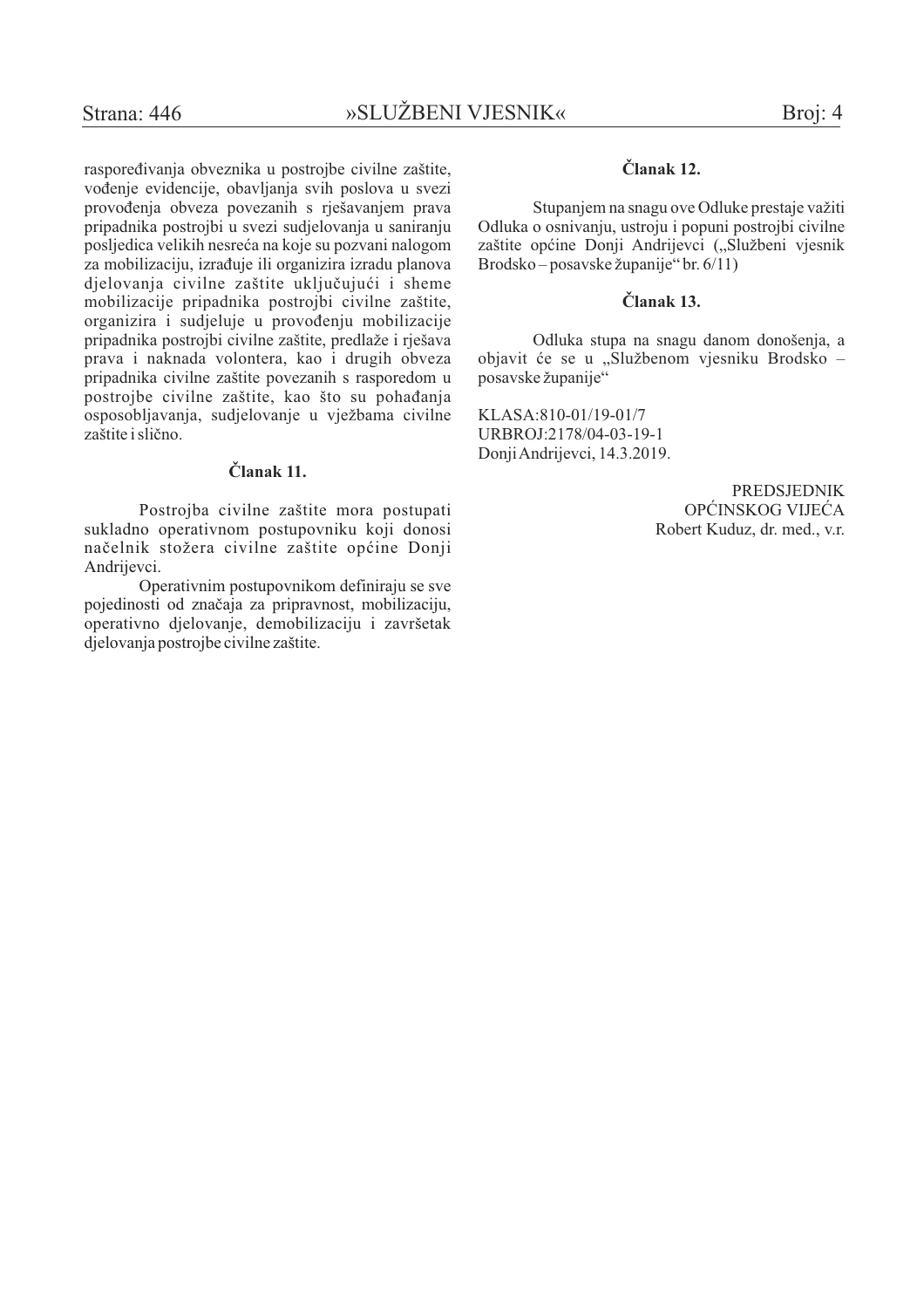raspoređivanja obveznika u postrojbe civilne zaštite. vođenje evidencije, obavljanja svih poslova u svezi provođenja obveza povezanih s rješavanjem prava pripadnika postrojbi u svezi sudjelovanja u saniranju posljedica velikih nesreća na koje su pozvani nalogom za mobilizaciju, izrađuje ili organizira izradu planova dielovanja civilne zaštite uključujući i sheme mobilizacije pripadnika postrojbi civilne zaštite, organizira i sudjeluje u provođenju mobilizacije pripadnika postrojbi civilne zaštite, predlaže i rješava prava i naknada volontera, kao i drugih obveza pripadnika civilne zaštite povezanih s rasporedom u postrojbe civilne zaštite, kao što su pohađanja osposobljavanja, sudjelovanje u vježbama civilne zaštite i slično.

## Članak 11.

Postrojba civilne zaštite mora postupati sukladno operativnom postupovniku koji donosi načelnik stožera civilne zaštite općine Donji Andrijevci.

Operativnim postupovnikom definiraju se sve pojedinosti od značaja za pripravnost, mobilizaciju, operativno djelovanje, demobilizaciju i završetak djelovanja postrojbe civilne zaštite.

## Članak 12.

Stupanjem na snagu ove Odluke prestaje važiti Odluka o osnivanju, ustroju i popuni postrojbi civilne zaštite općine Donji Andrijevci ("Službeni vjesnik Brodsko – posavske županije" br.  $6/11$ )

### Članak 13.

Odluka stupa na snagu danom donošenja, a objavit će se u "Službenom vjesniku Brodsko posavske županije"

KLASA:810-01/19-01/7 URBROJ:2178/04-03-19-1 Donji Andrijevci, 14.3.2019.

> **PREDSJEDNIK** OPĆINSKOG VIJEĆA Robert Kuduz, dr. med., v.r.